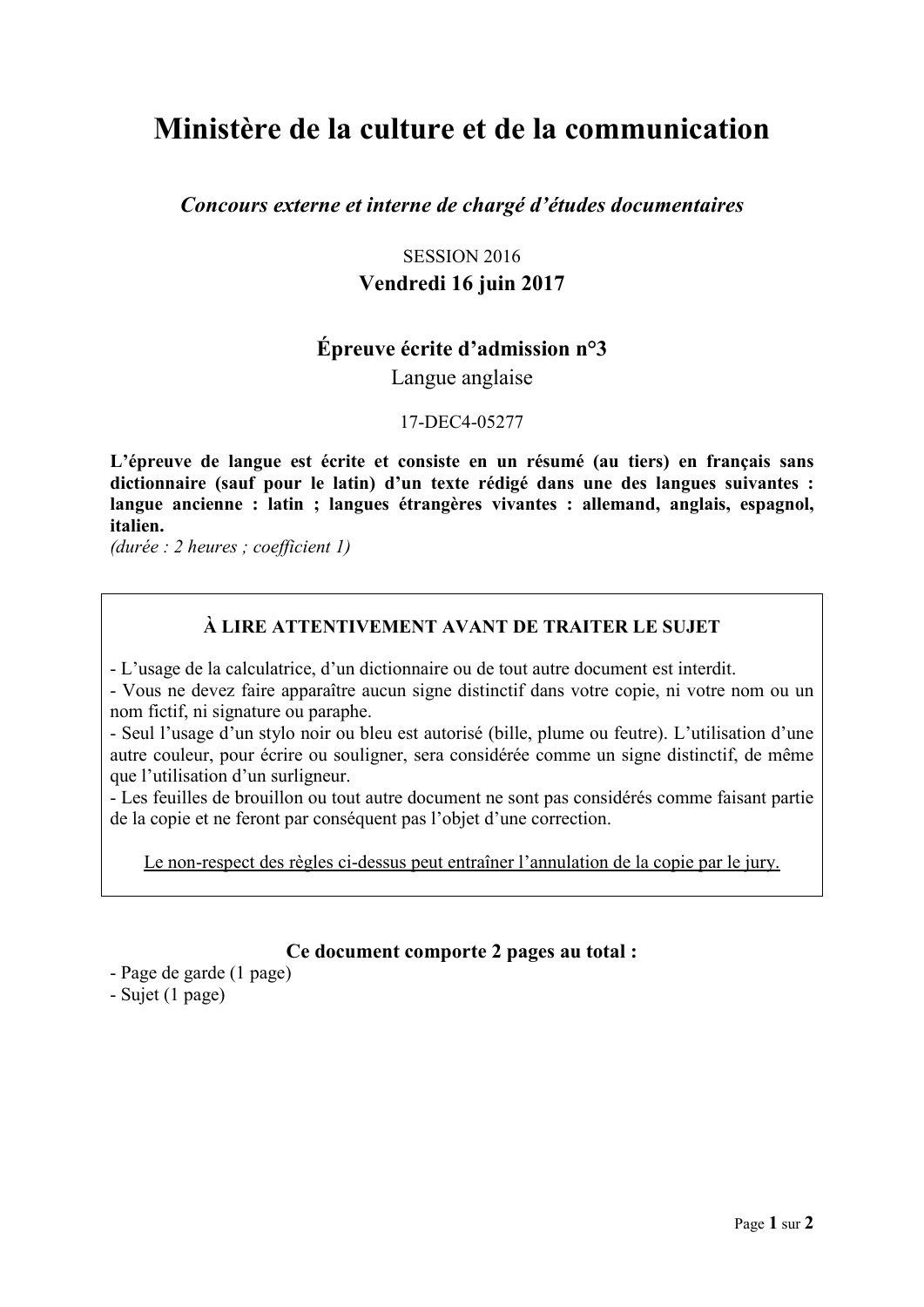# **Ministère de la culture et de la communication**

*Concours externe et interne de chargé d'études documentaires*

## SESSION 2016 **Vendredi 16 juin 2017**

## **Épreuve écrite d'admission n°3**

Langue anglaise

17-DEC4-05277

**L'épreuve de langue est écrite et consiste en un résumé (au tiers) en français sans dictionnaire (sauf pour le latin) d'un texte rédigé dans une des langues suivantes : langue ancienne : latin ; langues étrangères vivantes : allemand, anglais, espagnol, italien.**

*(durée : 2 heures ; coefficient 1)* 

### **À LIRE ATTENTIVEMENT AVANT DE TRAITER LE SUJET**

- L'usage de la calculatrice, d'un dictionnaire ou de tout autre document est interdit.

- Vous ne devez faire apparaître aucun signe distinctif dans votre copie, ni votre nom ou un nom fictif, ni signature ou paraphe.

- Seul l'usage d'un stylo noir ou bleu est autorisé (bille, plume ou feutre). L'utilisation d'une autre couleur, pour écrire ou souligner, sera considérée comme un signe distinctif, de même que l'utilisation d'un surligneur.

- Les feuilles de brouillon ou tout autre document ne sont pas considérés comme faisant partie de la copie et ne feront par conséquent pas l'objet d'une correction.

Le non-respect des règles ci-dessus peut entraîner l'annulation de la copie par le jury.

#### **Ce document comporte 2 pages au total :**

- Page de garde (1 page)

- Sujet (1 page)